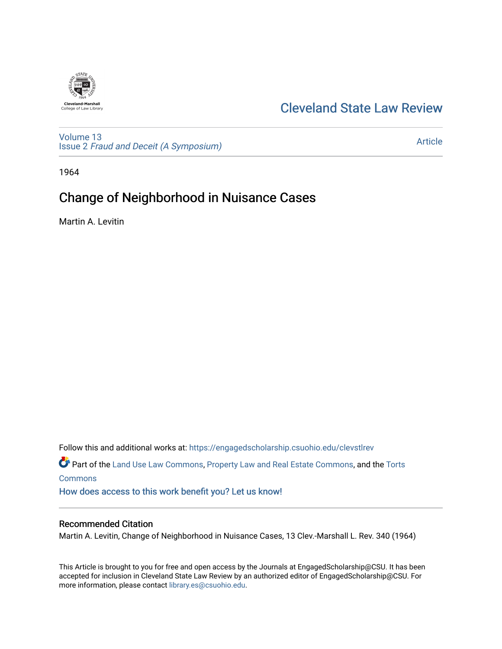

## [Cleveland State Law Review](https://engagedscholarship.csuohio.edu/clevstlrev)

[Volume 13](https://engagedscholarship.csuohio.edu/clevstlrev/vol13) Issue 2 [Fraud and Deceit \(A Symposium\)](https://engagedscholarship.csuohio.edu/clevstlrev/vol13/iss2)

[Article](https://engagedscholarship.csuohio.edu/clevstlrev/vol13/iss2/18) 

1964

# Change of Neighborhood in Nuisance Cases

Martin A. Levitin

Follow this and additional works at: [https://engagedscholarship.csuohio.edu/clevstlrev](https://engagedscholarship.csuohio.edu/clevstlrev?utm_source=engagedscholarship.csuohio.edu%2Fclevstlrev%2Fvol13%2Fiss2%2F18&utm_medium=PDF&utm_campaign=PDFCoverPages) Part of the [Land Use Law Commons](http://network.bepress.com/hgg/discipline/852?utm_source=engagedscholarship.csuohio.edu%2Fclevstlrev%2Fvol13%2Fiss2%2F18&utm_medium=PDF&utm_campaign=PDFCoverPages), [Property Law and Real Estate Commons](http://network.bepress.com/hgg/discipline/897?utm_source=engagedscholarship.csuohio.edu%2Fclevstlrev%2Fvol13%2Fiss2%2F18&utm_medium=PDF&utm_campaign=PDFCoverPages), and the [Torts](http://network.bepress.com/hgg/discipline/913?utm_source=engagedscholarship.csuohio.edu%2Fclevstlrev%2Fvol13%2Fiss2%2F18&utm_medium=PDF&utm_campaign=PDFCoverPages) **[Commons](http://network.bepress.com/hgg/discipline/913?utm_source=engagedscholarship.csuohio.edu%2Fclevstlrev%2Fvol13%2Fiss2%2F18&utm_medium=PDF&utm_campaign=PDFCoverPages)** [How does access to this work benefit you? Let us know!](http://library.csuohio.edu/engaged/)

## Recommended Citation

Martin A. Levitin, Change of Neighborhood in Nuisance Cases, 13 Clev.-Marshall L. Rev. 340 (1964)

This Article is brought to you for free and open access by the Journals at EngagedScholarship@CSU. It has been accepted for inclusion in Cleveland State Law Review by an authorized editor of EngagedScholarship@CSU. For more information, please contact [library.es@csuohio.edu](mailto:library.es@csuohio.edu).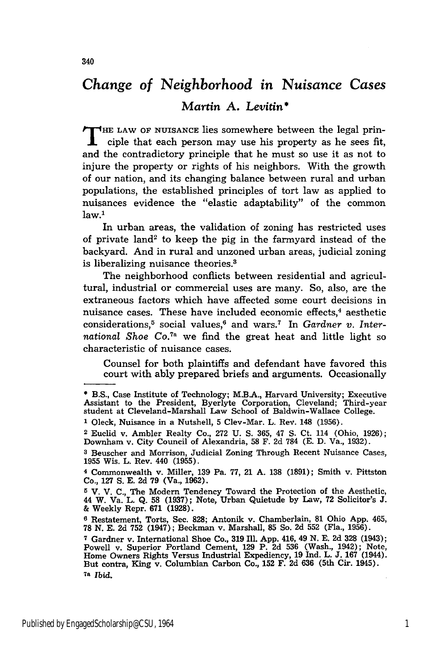## *Change of Neighborhood in Nuisance Cases*

## *Martin* **A.** *Levitin\**

**T HE** LAW OF **NUISANCE** lies somewhere between the legal principle that each person may use his property as he sees fit, and the contradictory principle that he must so use it as not to injure the property or rights of his neighbors. With the growth of our nation, and its changing balance between rural and urban populations, the established principles of tort law as applied to nuisances evidence the "elastic adaptability" of the common  $law<sup>1</sup>$ 

In urban areas, the validation of zoning has restricted uses of private land<sup>2</sup> to keep the pig in the farmyard instead of the backyard. And in rural and unzoned urban areas, judicial zoning is liberalizing nuisance theories.3

The neighborhood conflicts between residential and agricultural, industrial or commercial uses are many. So, also, are the extraneous factors which have affected some court decisions in nuisance cases. These have included economic effects,<sup>4</sup> aesthetic considerations,<sup>5</sup> social values,<sup>6</sup> and wars.<sup>7</sup> In *Gardner v. Inter*national Shoe Co.<sup>7a</sup> we find the great heat and little light so characteristic of nuisance cases.

Counsel for both plaintiffs and defendant have favored this court with ably prepared briefs and arguments. Occasionally

<sup>\*</sup>B.S., Case Institute of Technology; M.B.A., Harvard University; Executive Assistant to the President, Byerlyte Corporation, Cleveland; Third-year student at Cleveland-Marshall Law School of Baldwin-Wallace College.

**<sup>1</sup>** Oleck, Nuisance in a Nutshell, 5 Clev-Mar. L. Rev. 148 (1956).

<sup>2</sup> Euclid v. Ambler Realty Co., 272 U. **S.** 365, 47 S. Ct. 114 (Ohio, 1926); Downham v. City Council of Alexandria, 58 F. 2d 784 **(E.** D. Va., 1932).

**<sup>3</sup>**Beuscher and Morrison, Judicial Zoning Through Recent Nuisance Cases, 1955 Wis. L. Rev. 440 (1955).

<sup>4</sup> Commonwealth v. Miller, 139 Pa. 77, 21 A. 138 (1891); Smith v. Pittston Co., 127 **S.** E. 2d 79 (Va., 1962).

**<sup>5</sup>** V. V. C., The Modern Tendency Toward the Protection of the Aesthetic, 44 W. Va. L. Q. **58** (1937); Note, Urban Quietude by Law, 72 Solicitor's **J.** & Weekly Repr. 671 (1928).

**<sup>6</sup>**Restatement, Torts, Sec. 828; Antonik v. Chamberlain, 81 Ohio App. 465, 78 N. E. 2d **752** (1947); Beckman v. Marshall, **85** So. 2d 552 (Fla., 1956).

**<sup>7</sup>** Gardner v. International Shoe Co., 319 Ill. App. 416, 49 N. E. 2d **328** (1943); Powell v. Superior Portland Cement, 129 P. 2d **536** (Wash., 1942); Note, Home Owners Rights Versus Industrial Expediency, 19 Ind. L. **J.** 167 (1944). But contra, King v. Columbian Carbon Co., **152** F. 2d 636 (5th Cir. 1945). 7a *Ibid.*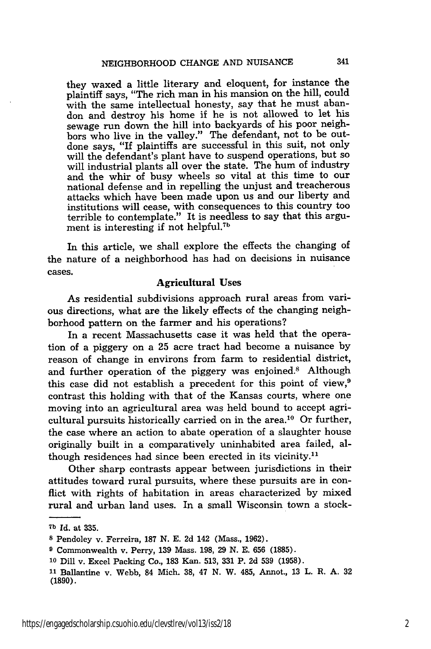they waxed a little literary and eloquent, for instance the plaintiff says, "The rich man in his mansion on the hill, could with the same intellectual honesty, say that he must abandon and destroy his home if he is not allowed to let his sewage run down the hill into backyards of his poor neighbors who live in the valley." The defendant, not to be outdone says, "If plaintiffs are successful in this suit, not only will the defendant's plant have to suspend operations, but so will industrial plants all over the state. The hum of industry and the whir of busy wheels so vital at this time to our national defense and in repelling the unjust and treacherous attacks which have been made upon us and our liberty and institutions will cease, with consequences to this country too terrible to contemplate." It is needless to say that this argument is interesting if not helpful.<sup>7b</sup>

In this article, we shall explore the effects the changing of the nature of a neighborhood has had on decisions in nuisance cases.

### **Agricultural Uses**

As residential subdivisions approach rural areas from various directions, what are the likely effects of the changing neighborhood pattern on the farmer and his operations?

In a recent Massachusetts case it was held that the operation of a piggery on a **25** acre tract had become a nuisance **by** reason of change in environs from farm to residential district, and further operation of the piggery was enjoined.8 Although this case did not establish a precedent for this point of view,<sup>9</sup> contrast this holding with that of the Kansas courts, where one moving into an agricultural area was held bound to accept agricultural pursuits historically carried on in the area.<sup>10</sup> Or further, the case where an action to abate operation of a slaughter house originally built in a comparatively uninhabited area failed, although residences had since been erected in its vicinity.<sup>11</sup>

Other sharp contrasts appear between jurisdictions in their attitudes toward rural pursuits, where these pursuits are in conflict with rights of habitation in areas characterized **by** mixed rural and urban land uses. In a small Wisconsin town a stock-

**<sup>7</sup>b Id.** at **335.**

**<sup>8</sup>** Pendoley v. Ferreira, **187 N. E. 2d** 142 (Mass., **1962).**

**<sup>9</sup>** Commonwealth v. Perry, **139** Mass. **198, 29 N. E. 656 (1885).**

**<sup>10</sup>**Dill v. Excel Packing Co., **183** Kan. **513, 331** P. **2d 539 (1958).**

**<sup>11</sup>**Ballantine v. Webb, 84 Mich. **38,** 47 **N.** W. 485, Annot., **13** L. R. **A. 32 (1890).**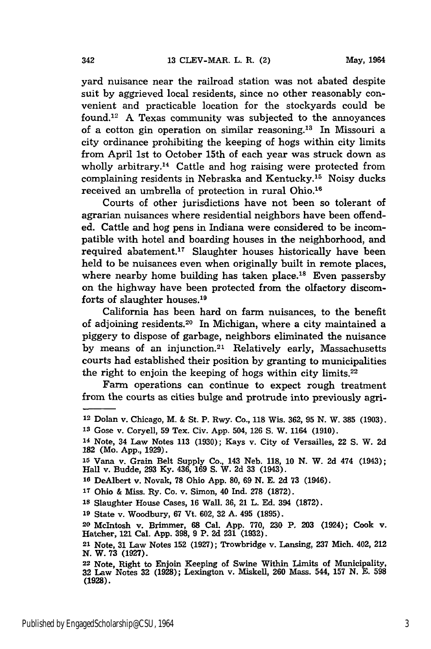yard nuisance near the railroad station was not abated despite suit by aggrieved local residents, since no other reasonably convenient and practicable location for the stockyards could be found.<sup>12</sup> A Texas community was subjected to the annoyances of a cotton gin operation on similar reasoning.<sup>13</sup> In Missouri a city ordinance prohibiting the keeping of hogs within city limits from April 1st to October 15th of each year was struck down as wholly arbitrary.<sup>14</sup> Cattle and hog raising were protected from complaining residents in Nebraska and Kentucky.<sup>15</sup> Noisy ducks received an umbrella of protection in rural Ohio.16

Courts of other jurisdictions have not been so tolerant of agrarian nuisances where residential neighbors have been offended. Cattle and hog pens in Indiana were considered to be incompatible with hotel and boarding houses in the neighborhood, and required abatement.<sup>17</sup> Slaughter houses historically have been held to be nuisances even when originally built in remote places, where nearby home building has taken place.<sup>18</sup> Even passersby on the highway have been protected from the olfactory discomforts of slaughter houses.19

California has been hard on farm nuisances, to the benefit of adjoining residents.<sup>20</sup> In Michigan, where a city maintained a piggery to dispose of garbage, neighbors eliminated the nuisance by means of an injunction.<sup>21</sup> Relatively early, Massachusetts courts had established their position by granting to municipalities the right to enjoin the keeping of hogs within city limits. $22$ 

Farm operations can continue to expect rough treatment from the courts as cities bulge and protrude into previously agri-

<sup>12</sup> Dolan v. Chicago, M. & St. P. Rwy. Co., **118** Wis. 362, 95 **N.** W. **385** (1903). **Is** Gose v. Coryell, 59 Tex. Civ. App. 504, 126 S. W. 1164 (1910).

**<sup>14</sup>**Note, 34 Law Notes 113 **(1930);** Kays v. City of Versailles, 22 **S.** W. 2d **182** (Mo. App., 1929).

**<sup>15</sup>**Vana v. Grain Belt Supply Co., 143 Neb. 118, **10 N.** W. 2d 474 (1943); Hall v. Budde, 293 **Ky.** 436, 169 **S.** W. 2d 33 (1943).

**<sup>10</sup>**DeAlbert v. Novak, **78** Ohio App. **80,** 69 **N.** E. **2d** 73 (1946).

**<sup>17</sup>** Ohio & Miss. Ry. Co. v. Simon, 40 Ind. **278** (1872).

**<sup>18</sup>**Slaughter House Cases, 16 Wall. 36, 21 L. Ed. 394 (1872).

**<sup>19</sup>**State v. Woodbury, 67 Vt. 602, 32 **A.** 495 (1895).

**<sup>20</sup>**McIntosh v. Brimmer, 68 Cal. App. 770, **230** *P.* 203 (1924); Cook v. Hatcher, 121 Cal. **App. 398, 9** P. 2d **231 (1932).**

<sup>21</sup> Note, 31 Law Notes 152 (1927); Trowbridge v. Lansing, 237 Mich. 402, 212 *N.* W. **73 (1927).**

<sup>22</sup> Note, Right to Enjoin Keeping of Swine Within Limits of Municipality, 32 Law Notes **32** (1928); Lexington v. Miskell, **260** Mass. 544, **157 N.** E. **598 (1928).**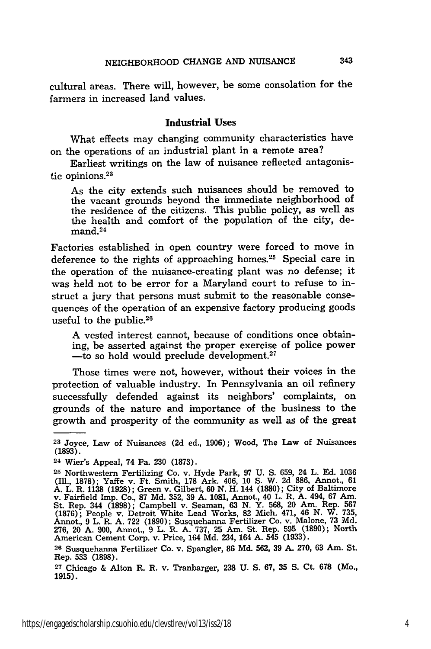cultural areas. There will, however, be some consolation for the farmers in increased land values.

### Industrial Uses

What effects may changing community characteristics have on the operations of an industrial plant in a remote area?

Earliest writings on the law of nuisance reflected antagonistic opinions.<sup>23</sup>

As the city extends such nuisances should be removed to the vacant grounds beyond the immediate neighborhood of the residence of the citizens. This public policy, as well as the health and comfort of the population of the city, demand. <sup>24</sup>

Factories established in open country were forced to move in deference to the rights of approaching homes.<sup>25</sup> Special care in the operation of the nuisance-creating plant was no defense; it was held not to be error for a Maryland court to refuse to instruct a jury that persons must submit to the reasonable consequences of the operation of an expensive factory producing goods useful to the public.<sup>26</sup>

**A** vested interest cannot, because of conditions once obtaining, be asserted against the proper exercise of police power -to so hold would preclude development.<sup>27</sup>

Those times were not, however, without their voices in the protection of valuable industry. In Pennsylvania an oil refinery successfully defended against its neighbors' complaints, on grounds of the nature and importance of the business to the growth and prosperity of the community as well as of the great

**<sup>23</sup>**Joyce, Law of Nuisances **(2d** ed., **1906);** Wood, The Law of Nuisances **(1893).**

**<sup>24</sup>**Wier's Appeal, 74 Pa. **230 (1873).**

**<sup>25</sup>**Northwestern Fertilizing Co. v. Hyde Park, **97 U. S. 659,** 24 L. **Ed. 1036 (Ili., 1878);** Yaffe v. Ft. Smith, **178** Ark. 406, **10 S.** W. **2d 886,** Annot., **61 A.** L. R. **1138 (1928);** Green v. Gilbert, **60 N.** H. 144 **(1880);** City of Baltimore v. Fairfield Imp. Co., **87 Md.** 352, **39 A. 1081,** Annot., 40 L. R. **A.** 494, **67** Am. St. Rep. 344 (1898); Campbell v. Seaman, 63 N. Y. 568, 20 Am. Rep. 567<br>(1876); People v. Detroit White Lead Works, 82 Mich. 471, 46 N. W. 735.<br>Annot., 9 L. R. A. 722 (1890); Susquehanna Fertilizer Co. v. Malone, 73 Md.<br>276 American Cement Corp. v. Price, 164 **Md.** 234, 164 **A.** 545 **(1933).**

**<sup>26</sup>**Susquehanna Fertilizer Co. v. Spangler, **86 Md. 562, 39 A. 270, 63** Am. St. Rep. **533 (1898).**

**<sup>27</sup>**Chicago **&** Alton R. R. v. Tranbarger, **238 U. S. 67, 35 S.** Ct. **678** (Mo., **1915).**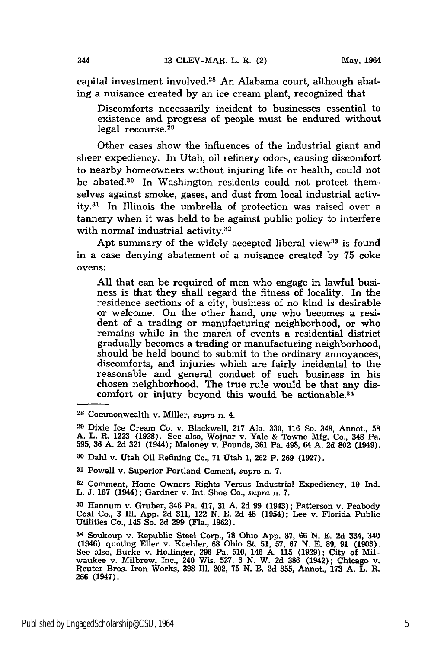capital investment involved.28 An Alabama court, although abating a nuisance created by an ice cream plant, recognized that

Discomforts necessarily incident to businesses essential to existence and progress of people must be endured without legal recourse. 29

Other cases show the influences of the industrial giant and sheer expediency. In Utah, oil refinery odors, causing discomfort to nearby homeowners without injuring life or health, could not be abated.30 In Washington residents could not protect themselves against smoke, gases, and dust from local industrial activity.81 In Illinois the umbrella of protection was raised over a tannery when it was held to be against public policy to interfere with normal industrial activity. $32$ 

Apt summary of the widely accepted liberal view<sup>33</sup> is found in a case denying abatement of a nuisance created by 75 coke ovens:

All that can be required of men who engage in lawful business is that they shall regard the fitness of locality. In the residence sections of a city, business of no kind is desirable or welcome. On the other hand, one who becomes a resident of a trading or manufacturing neighborhood, or who remains while in the march of events a residential district gradually becomes a trading or manufacturing neighborhood, should be held bound to submit to the ordinary annoyances, discomforts, and injuries which are fairly incidental to the reasonable and general conduct of such business in his chosen neighborhood. The true rule would be that any discomfort or injury beyond this would be actionable.<sup>34</sup>

**<sup>28</sup>**Commonwealth v. Miller, *supra* n. 4.

**<sup>29</sup>**Dixie Ice Cream Co. v. Blackwell, 217 Ala. 330, 116 So. 348, Annot., 58 A. L. R. 1223 (1928). See also, Wojnar v. Yale & Towne Mfg. Co., 348 Pa. 595, 36 A. 2d 321 (1944); Maloney v. Pounds, 361 Pa. 498, 64 A. 2d 802 (1949).

**<sup>30</sup>**Dahl v. Utah Oil Refining Co., 71 Utah 1, 262 P. 269 (1927).

**<sup>81</sup>**Powell v. Superior Portland Cement, *supra* n. 7.

**<sup>32</sup>**Comment, Home Owners Rights Versus Industrial Expediency, 19 Ind. L. J. 167 (1944); Gardner v. Int. Shoe Co., supra n. 7.

**<sup>33</sup>**Hannum v. Gruber, 346 Pa. 417, 31 A. 2d 99 (1943); Patterson v. Peabody Coal Co., 3 Ill. App. 2d 311, 122 N. E. 2d 48 (1954); Lee v. Florida Public Utilities Co., 145 So. 2d 299 (Fla., 1962).

**<sup>84</sup>**Soukoup v. Republic Steel Corp., 78 Ohio App. **87,** 66 N. E. 2d 334, 340 (1946) quoting Eller v. Koehler, 68 Ohio St. 51, 57, 67 N. E. 89, 91 (1903). See also, Burke v. Hollinger, 296 Pa. 510, 146 A. 115 (1929); City of Milwaukee v. Milbrew, Inc., 240 Wis. 527, 3 N. W. 2d 386 (1942); Chicago v. Reuter Bros. Iron Works, 398 Ill. 202, 75 N. E. 2d 355, Annot., 173 A. L. R. 266 (1947).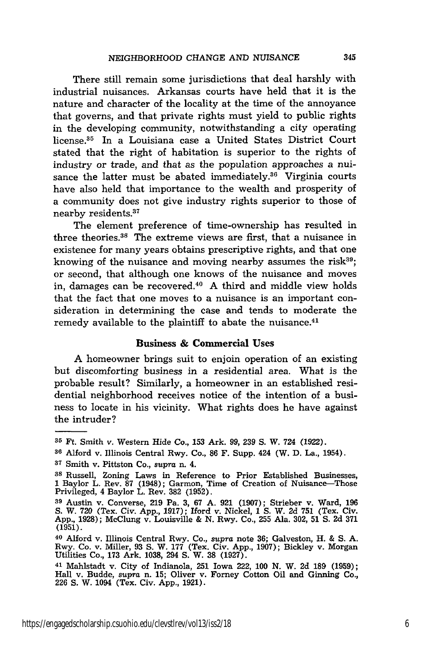There still remain some jurisdictions that deal harshly with industrial nuisances. Arkansas courts have held that it is the nature and character of the locality at the time of the annoyance that governs, and that private rights must yield to public rights in the developing community, notwithstanding a city operating license. 35 In a Louisiana case a United States District Court stated that the right of habitation is superior to the rights of industry or trade, and that as the population approaches a nuisance the latter must be abated immediately.<sup>36</sup> Virginia courts have also held that importance to the wealth and prosperity of a community does not give industry rights superior to those of nearby residents.<sup>37</sup>

The element preference of time-ownership has resulted in three theories.38 The extreme views are first, that a nuisance in existence for many years obtains prescriptive rights, and that one knowing of the nuisance and moving nearby assumes the risk $39$ ; or second, that although one knows of the nuisance and moves in, damages can be recovered.<sup>40</sup> A third and middle view holds that the fact that one moves to a nuisance is an important consideration in determining the case and tends to moderate the remedy available to the plaintiff to abate the nuisance.<sup>41</sup>

#### Business **& Commercial Uses**

A homeowner brings suit to enjoin operation of an existing but discomforting business in a residential area. What is the probable result? Similarly, a homeowner in an established residential neighborhood receives notice of the intention of a business to locate in his vicinity. What rights does he have against the intruder?

**<sup>35</sup>**Ft. Smith v. Western Hide Co., **153** Ark. **99, 239 S.** W. 724 **(1922).**

**<sup>36</sup>**Alford v. Illinois Central Rwy. Co., **86** F. Supp. 424 (W. D. La., 1954).

**<sup>37</sup>**Smith v. Pittston Co., *supra* n. 4.

**<sup>38</sup>**Russell, Zoning Laws in Reference to Prior Established Businesses, **1** Baylor L. Rev. **87** (1948); Garmon, Time of Creation of Nuisance-Those Privileged, 4 Baylor L. Rev. **382** (1952).

**<sup>39</sup>**Austin v. Converse, 219 Pa. **3,** 67 A. 921 (1907); Strieber v. Ward, 196 *S.* W. **720** (Tex. Civ. App., **1917);** aford v. Nickel, 1 S. W. **2d 751** (Tex. Civ. App., 1928); McClung v. Louisville & **N.** Rwy. Co., **255** Ala. 302, 51 **S. 2d** 371 **(1951).**

**<sup>40</sup>**Alford v. Illinois Central Rwy. Co., *supra* note **36;** Galveston, H. & S. **A.** Rwy. Co. v. Miller, 93 **S.** W. 177 (Tex. Civ. App., 1907); Bickley v. Morgan Utilities Co., **173** Ark. 1038, 294 S. W. **38** (1927).

<sup>41</sup> Mahlstadt v. City of Indianola, **251** Iowa 222, **100 N.** W. 2d **189** (1959); Hall v. Budde, supra n. 15; Oliver v. Forney Cotton Oil and Ginning Co., **226** *S.* W. 1094 (Tex. Civ. App., 1921).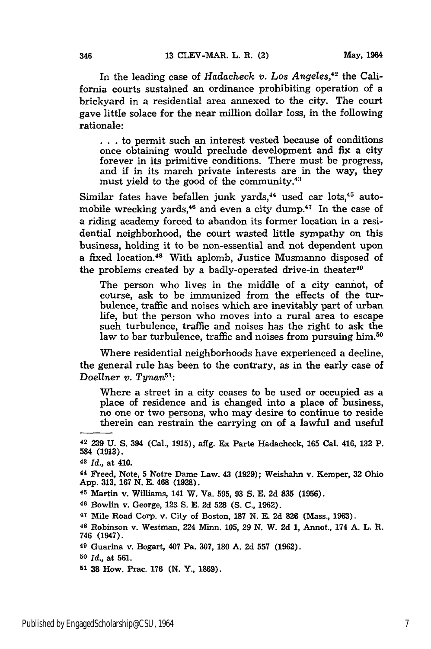In the leading case of *Hadacheck v. Los Angeles*<sup>42</sup> the California courts sustained an ordinance prohibiting operation of a brickyard in a residential area annexed to the city. The court gave little solace for the near million dollar loss, in the following rationale:

**. .** . to permit such an interest vested because of conditions once obtaining would preclude development and fix a city forever in its primitive conditions. There must be progress, and if in its march private interests are in the way, they must yield to the good of the community. $43$ 

Similar fates have befallen junk yards, $44$  used car lots, $45$  automobile wrecking yards,<sup>46</sup> and even a city dump.<sup>47</sup> In the case of a riding academy forced to abandon its former location in a residential neighborhood, the court wasted little sympathy on this business, holding it to be non-essential and not dependent upon a fixed location.48 With aplomb, Justice Musmanno disposed of the problems created by a badly-operated drive-in theater<sup>49</sup>

The person who lives in the middle of a city cannot, of course, ask to be immunized from the effects of the turbulence, traffic and noises which are inevitably part of urban life, but the person who moves into a rural area to escape such turbulence, traffic and noises has the right to ask the law to bar turbulence, traffic and noises from pursuing him.<sup>50</sup>

Where residential neighborhoods have experienced a decline, the general rule has been to the contrary, as in the early case of *Doellner v. Tynan51 :*

Where a street in a city ceases to be used or occupied as a place of residence and is changed into a place of business, no one or two persons, who may desire to continue to reside therein can restrain the carrying on of a lawful and useful

**<sup>50</sup>***Id.,* at **561.**

**<sup>42 239</sup> U. S.** 394 (Cal., **1915),** affg. Ex Parte Hadacheck, **165** Cal. 416, **132** P. 584 **(1913).**

**<sup>43</sup>***Id.,* at 410.

**<sup>44</sup>**Freed, Note, **5** Notre Dame Law. 43 **(1929);** Weishahn v. Kemper, **32** Ohio **App. 313, 167 N. E.** 468 **(1928).**

**<sup>45</sup>**Martin v. Williams, **141** W. Va. **595, 93 S. E. 2d 835 (1956).**

**<sup>46</sup>** Bowlin v. George, **123 S. E. 2d 528 (S.** *C.,* **1962).**

**<sup>47</sup>**Mile Road Corp. v. City of Boston, **187 N. E. 2d 826** (Mass., **1963).**

**<sup>48</sup>**Robinson v. Westman, 224 Minn. **105, 29 N.** W. **2d 1,** Annot., 174 **A.** L. R. 746 (1947).

**<sup>49</sup>**Guarina v. Bogart, 407 Pa. **307, 180 A. 2d 557 (1962).**

**<sup>51 38</sup>** How. Prac. **176 (N.** Y., **1869).**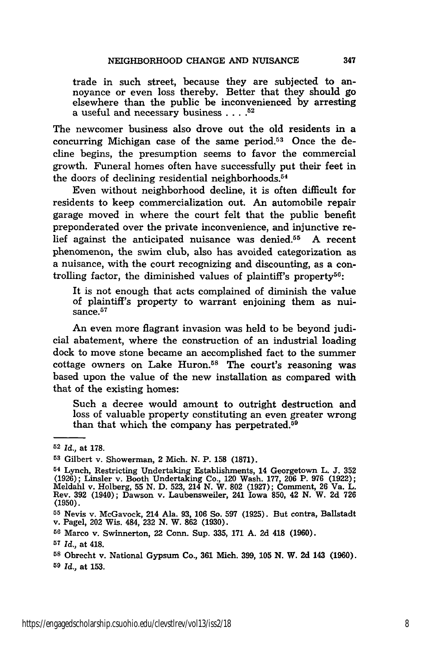trade in such street, because they are subjected to annoyance or even loss thereby. Better that they should go elsewhere than the public be inconvenienced by arresting a useful and necessary business. **.... 52**

The newcomer business also drove out the old residents in a concurring Michigan case of the same period.53 Once the decline begins, the presumption seems to favor the commercial growth. Funeral homes often have successfully put their feet in the doors of declining residential neighborhoods.<sup>54</sup>

Even without neighborhood decline, it is often difficult for residents to keep commercialization out. An automobile repair garage moved in where the court felt that the public benefit preponderated over the private inconvenience, and injunctive relief against the anticipated nuisance was denied.55 A recent phenomenon, the swim club, also has avoided categorization as a nuisance, with the court recognizing and discounting, as a controlling factor, the diminished values of plaintiff's property<sup>56</sup>

It is not enough that acts complained of diminish the value of plaintiff's property to warrant enjoining them as nuisance. $57$ 

An even more flagrant invasion was held to be beyond judicial abatement, where the construction of an industrial loading dock to move stone became an accomplished fact to the summer cottage owners on Lake Huron.<sup>58</sup> The court's reasoning was based upon the value of the new installation as compared with that of the existing homes:

Such a decree would amount to outright destruction and loss of valuable property constituting an even greater wrong than that which the company has perpetrated.<sup>59</sup>

- **<sup>56</sup>**Marco v. Swinnerton, 22 Conn. Sup. **335, 171 A. 2d** 418 **(1960).**
- *57 Id.,* at 418.
- **<sup>58</sup>**Obrecht v. National Gypsum Co., **361** Mich. **399, 105 N.** W. **2d** 143 **(1960). <sup>59</sup>***Id.,* at **153.**
- 

**<sup>52</sup>***Id.,* at **178.**

**<sup>53</sup>**Gilbert v. Showerman, 2 Mich. **N.** P. **158 (1871).**

**<sup>54</sup>**Lynch, Restricting Undertaking Establishments, 14 Georgetown L. **J. 352** (1926); Linsler v. Booth Undertaking Co., 120 Wash. 177, 206 P. 976 (1922);<br>Meldahl v. Holberg, 55 N. D. 523, 214 N. W. 802 (1927); Comment, 26 Va. L.<br>Rev. 392 (1940); Dawson v. Laubensweiler, 241 Iowa 850, 42 N. W. 2d 726 **(1950).**

**<sup>55</sup>**Nevis v. McGavock, 214 Ala. **93, 106** So. **597 (1925).** But contra, Ballstadt v. Pagel, 202 Wis. 484, **232 N.** W. **862 (1930).**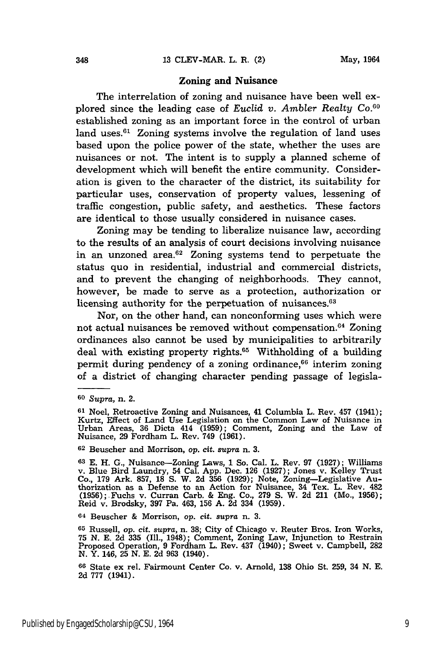#### **Zoning and Nuisance**

**The** interrelation of zoning and nuisance have been well explored since the leading case of *Euclid v. Ambler Realty Co.60* established zoning as an important force in the control of urban land uses. $61$  Zoning systems involve the regulation of land uses based upon the police power of the state, whether the uses are nuisances or not. The intent is to supply a planned scheme of development which will benefit the entire community. Consideration is given to the character of the district, its suitability for particular uses, conservation of property values, lessening of traffic congestion, public safety, and aesthetics. These factors are identical to those usually considered in nuisance cases.

Zoning may be tending to liberalize nuisance law, according to the results of an analysis of court decisions involving nuisance in an unzoned area. $62$  Zoning systems tend to perpetuate the status quo in residential, industrial and commercial districts, and to prevent the changing of neighborhoods. They cannot, however, be made to serve as a protection, authorization or licensing authority for the perpetuation of nuisances.<sup>63</sup>

Nor, on the other hand, can nonconforming uses which were not actual nuisances be removed without compensation.<sup>64</sup> Zoning ordinances also cannot be used by municipalities to arbitrarily deal with existing property rights.<sup>65</sup> Withholding of a building permit during pendency of a zoning ordinance,<sup>66</sup> interim zoning of a district of changing character pending passage of legisla-

64 Beuscher & Morrison, *op.* cit. supra n. 3.

**<sup>65</sup>**Russell, *op.* cit. *supra,* n. 38; City of Chicago v. Reuter Bros. Iron Works, **75** N. E. **2d 335** (Ill., 1948); Comment, Zoning Law, Injunction to Restrain Proposed Operation, 9 Fordham L. Rev. 437 (1940); Sweet v. Campbell, 282 **N.** Y. 146, 25 N. E. **2d** 963 (1940).

**<sup>60</sup>***Supra,* n. 2.

**<sup>61</sup>**Noel, Retroactive Zoning and Nuisances, 41 Columbia L. Rev. 457 (1941); Kurtz, Effect of Land Use Legislation on the Common Law of Nuisance in Urban Areas, 36 Dicta 414 (1959); Comment, Zoning and the Law of Nuisance, 29 Fordham L. Rev. 749 (1961).

**<sup>62</sup>**Beuscher and Morrison, op. *cit. supra* n. **3.**

**<sup>63</sup>**E. H. **G.,** Nuisance-Zoning Laws, 1 So. Cal. L. Rev. 97 (1927); Williams v. Blue Bird Laundry, 54 Cal. App. Dec. 126 (1927); Jones v. Kelley Trust Co., 179 Ark. 857, 18 S. W. **2d** 356 (1929); Note, Zoning-Legislative Au-thorization as a Defense to an Action for Nuisance, 34 Tex. L. Rev. 482 (1956); Fuchs v. Curran Carb. & Eng. Co., 279 S. W. **2d** 211 (Mo., 1956); Reid v. Brodsky, 397 Pa. 463, 156 A. **2d** 334 (1959).

**<sup>66</sup>**State ex rel. Fairmount Center Co. v. Arnold, 138 Ohio St. **259,** 34 N. E. 2d 777 (1941).